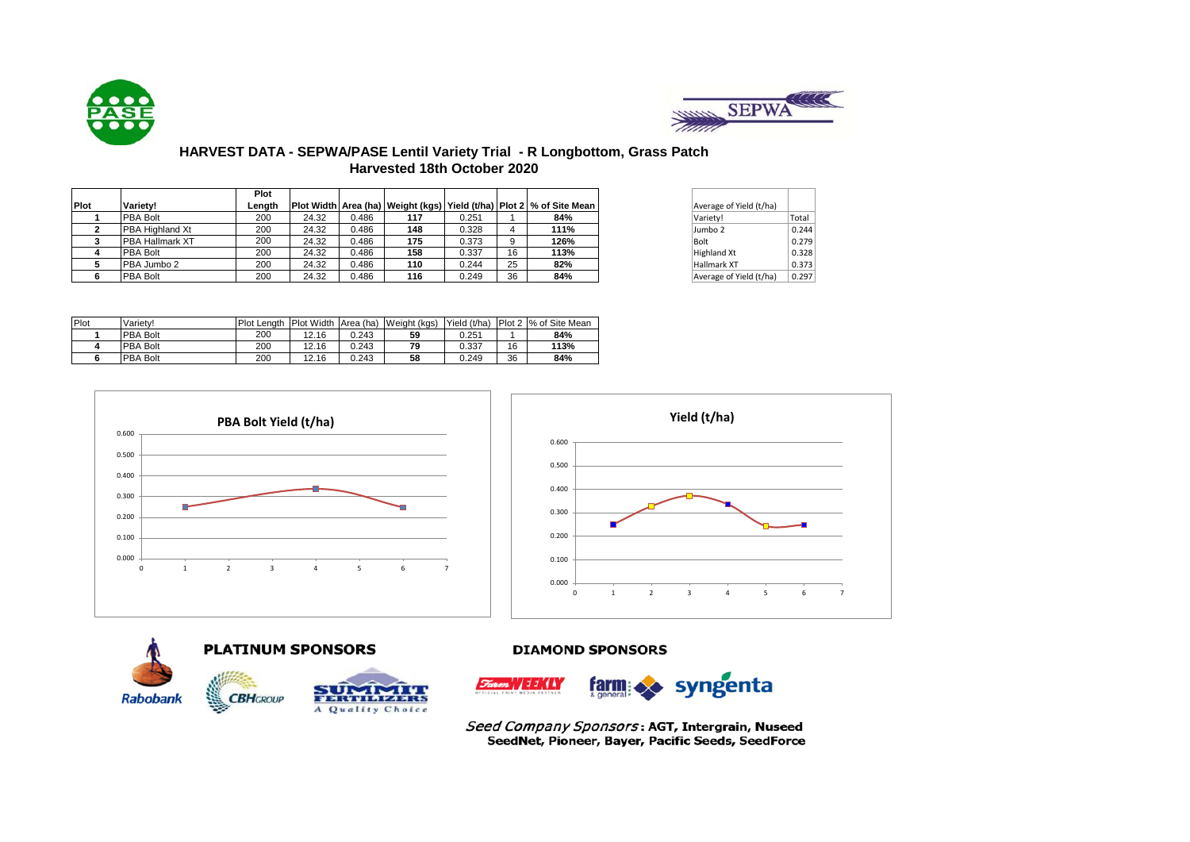



# **HARVEST DATA - SEPWA/PASE Lentil Variety Trial - R Longbottom, Grass Patch Harvested 18th October 2020**

|             |                        | Plot   |       |       |     |       |    |                                                                                |                         |       |
|-------------|------------------------|--------|-------|-------|-----|-------|----|--------------------------------------------------------------------------------|-------------------------|-------|
| <b>Plot</b> | Variety!               | Lenath |       |       |     |       |    | Plot Width   Area (ha)   Weight (kgs)   Yield (t/ha)   Plot 2   % of Site Mean | Average of Yield (t/ha) |       |
|             | <b>PBA Bolt</b>        | 200    | 24.32 | 0.486 | 117 | 0.251 |    | 84%                                                                            | Variety!                | Total |
|             | <b>PBA Highland Xt</b> | 200    | 24.32 | 0.486 | 148 | 0.328 |    | 111%                                                                           | Jumbo 2                 | 0.244 |
|             | <b>PBA Hallmark XT</b> | 200    | 24.32 | 0.486 | 175 | 0.373 |    | 126%                                                                           | Bolt                    | 0.279 |
|             | <b>PBA Bolt</b>        | 200    | 24.32 | 0.486 | 158 | 0.337 | 16 | 113%                                                                           | Highland Xt             | 0.328 |
|             | PBA Jumbo 2            | 200    | 24.32 | 0.486 | 110 | 0.244 | 25 | 82%                                                                            | Hallmark XT             | 0.373 |
|             | <b>PBA Bolt</b>        | 200    | 24.32 | 0.486 | 116 | 0.249 | 36 | 84%                                                                            | Average of Yield (t/ha) | 0.297 |

| Average of Yield (t/ha) |       |
|-------------------------|-------|
| Variety!                | Total |
| Jumbo <sub>2</sub>      | 0.244 |
| Bolt                    | 0.279 |
| <b>Highland Xt</b>      | 0.328 |
| Hallmark XT             | 0.373 |
| Average of Yield (t/ha) | 0.297 |

| Plot | Variety! | <b>Plot Lenath</b> | Plot Width Area (ha) |       | Weight (kgs) | Yield (t/ha) |    | Plot 2 % of Site Mean |
|------|----------|--------------------|----------------------|-------|--------------|--------------|----|-----------------------|
|      | PBA Bolt | 200                | 12.16                | 0.243 | 59           | 0.251        |    | 84%                   |
|      | PBA Bolt | 200                | 12.16                | 0.243 | 79           | 0.337        | 16 | 113%                  |
|      | PBA Bolt | 200                | 12.16                | 0.243 | 58           | 0.249        | 36 | 84%                   |





# **DIAMOND SPONSORS**







Seed Company Sponsors: AGT, Intergrain, Nuseed SeedNet, Pioneer, Bayer, Pacific Seeds, SeedForce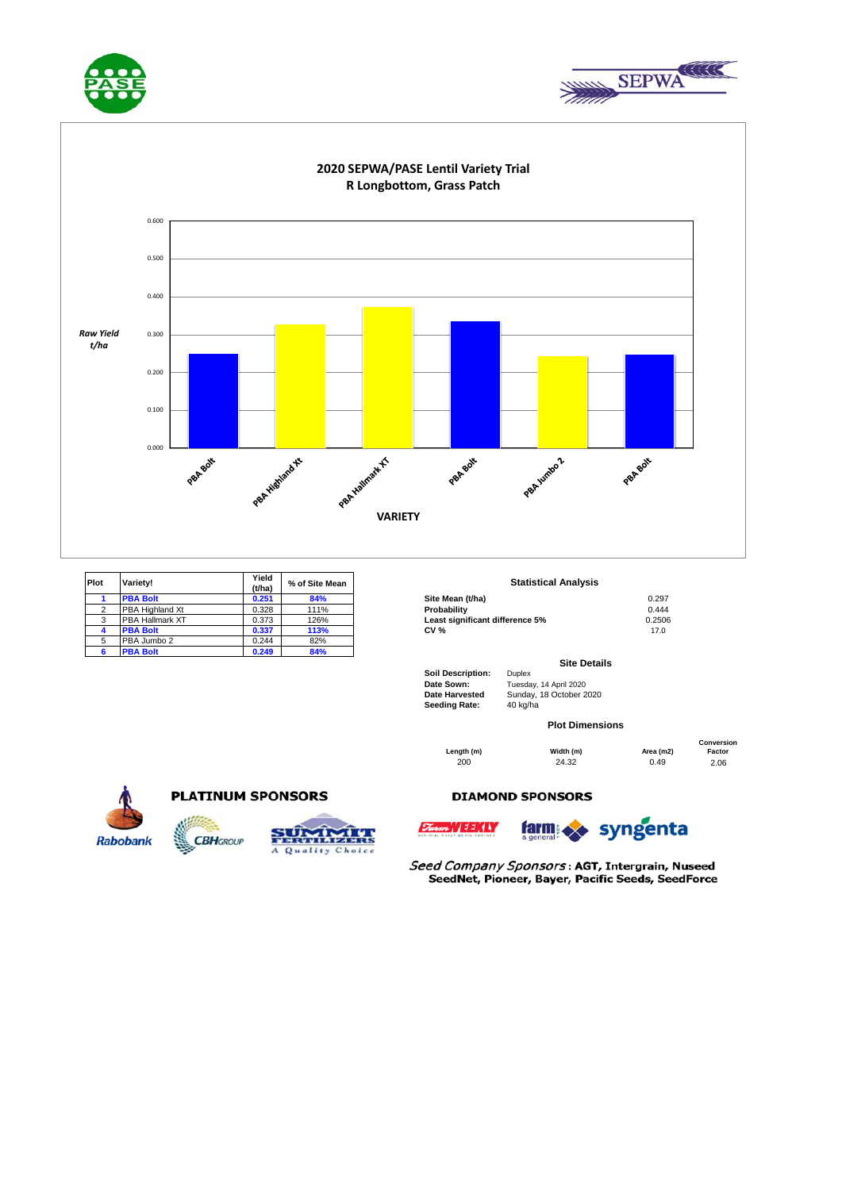





| <b>Plot</b> | Variety!               | Yield<br>(t/ha) | % of Site Mean | <b>Statistical Analysis</b>     |        |  |
|-------------|------------------------|-----------------|----------------|---------------------------------|--------|--|
|             | <b>PBA Bolt</b>        | 0.251           | 84%            | Site Mean (t/ha)                | 0.297  |  |
|             | <b>PBA Highland Xt</b> | 0.328           | 111%           | Probability                     | 0.444  |  |
|             | <b>PBA Hallmark XT</b> | 0.373           | 126%           | Least significant difference 5% | 0.2506 |  |
|             | <b>PBA Bolt</b>        | 0.337           | 113%           | <b>CV %</b>                     | 17.0   |  |
| 5           | PBA Jumbo 2            | 0.244           | 82%            |                                 |        |  |
|             | <b>PBA Bolt</b>        | 0.249           | 84%            |                                 |        |  |

### **Statistical Analysis**

| Site Mean (t/ha)                | 0.297  |
|---------------------------------|--------|
| Probabilitv                     | 0.444  |
| Least significant difference 5% | 0.2506 |
| CV %                            | 17.0   |
|                                 |        |

#### **Site Details**

**Soil Description:** Duplex **Date Sown:** Tuesday, 14 April 2020 Sunday, 18 October 2020

**Length (m) Width (m) Area (m2) 200 24.32 0.49** 

**Seeding Rate:** 40 kg/ha

**Plot Dimensions**

200 24.32 0.49 2.06 **Conversion Factor**



## **PLATINUM SPONSORS**

**CBH**GROUP

 $5.577$ 

A Quality Choice

## **DIAMOND SPONSORS**





Seed Company Sponsors: AGT, Intergrain, Nuseed SeedNet, Pioneer, Bayer, Pacific Seeds, SeedForce